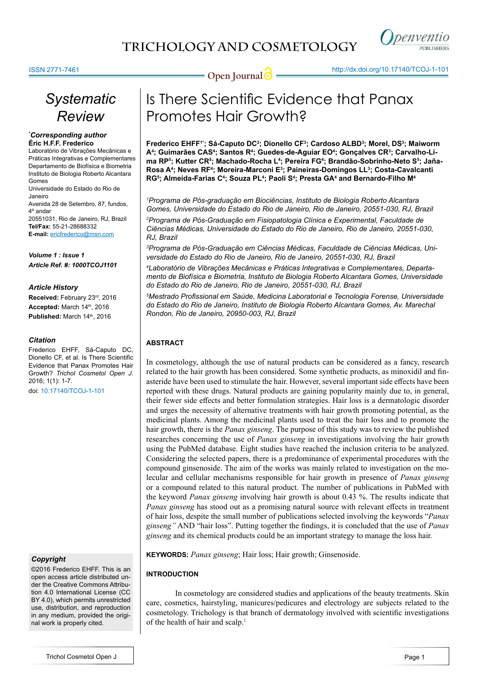

Gomes

Janeiro

4º andar

*\* Corresponding author* **Éric H.F.F. Frederico**

Laboratório de Vibrações Mecânicas e Práticas Integrativas e Complementares Departamento de Biofísica e Biometria Instituto de Biologia Roberto Alcantara

*Systematic Review*

Universidade do Estado do Rio de

Avenida 28 de Setembro, 87, fundos,

20551031, Rio de Janeiro, RJ, Brazil

**Received:** February 23rd, 2016 **Accepted:** March 14th, 2016 Published: March 14th, 2016

*Article Ref. #: 1000TCOJ1101*

Frederico EHFF, Sá-Caputo DC Dionello CF, et al. Is There Scientific Evidence that Panax Promotes Hair Growth? *Trichol Cosmetol Open J*.

**Tel/Fax:** 55-21-28688332 **E-mail:** ericfrederico@msn.com

*Article History*

*Volume 1 : Issue 1*

*Citation*

2016; 1(1): 1-7.

doi: [10.17140/TCOJ-1-101](http://dx.doi.org/10.17140/TCOJ-1-101)

# Is There Scientific Evidence that Panax Promotes Hair Growth?

**Frederico EHFF1\*; Sá-Caputo DC2 ; Dionello CF3 ; Cardoso ALBD3 ; Morel, DS3 ; Maiworm**  A<sup>4</sup>; Guimarães CAS<sup>4</sup>; Santos R<sup>4</sup>; Guedes-de-Aguiar EO<sup>4</sup>; Gonçalves CR<sup>3</sup>; Carvalho-Li**ma RP5 ; Kutter CR5 ; Machado-Rocha L4 ; Pereira FG4 ; Brandão-Sobrinho-Neto S5 ; Jaña-Rosa A4 ; Neves RF4 ; Moreira-Marconi E3 ; Paineiras-Domingos LL3 ; Costa-Cavalcanti RG5 ; Almeida-Farias C4 ; Souza PL4 ; Paoli S4 ; Presta GA4 and Bernardo-Filho M4**

*1 Programa de Pós-graduação em Biociências, Instituto de Biologia Roberto Alcantara Gomes, Universidade do Estado do Rio de Janeiro, Rio de Janeiro, 20551-030, RJ, Brazil 2 Programa de Pós-Graduação em Fisiopatologia Clínica e Experimental, Faculdade de Ciências Médicas, Universidade do Estado do Rio de Janeiro, Rio de Janeiro, 20551-030, RJ, Brazil*

*3 Programa de Pós-Graduação em Ciências Médicas, Faculdade de Ciências Médicas, Universidade do Estado do Rio de Janeiro, Rio de Janeiro, 20551-030, RJ, Brazil*

*4 Laboratório de Vibrações Mecânicas e Práticas Integrativas e Complementares, Departamento de Biofísica e Biometria, Instituto de Biologia Roberto Alcantara Gomes, Universidade do Estado do Rio de Janeiro, Rio de Janeiro, 20551-030, RJ, Brazil*

*5 Mestrado Profissional em Saúde, Medicina Laboratorial e Tecnologia Forense, Universidade do Estado do Rio de Janeiro, Instituto de Biologia Roberto Alcantara Gomes, Av. Marechal Rondon, Rio de Janeiro, 20950-003, RJ, Brazil*

## **ABSTRACT**

In cosmetology, although the use of natural products can be considered as a fancy, research related to the hair growth has been considered. Some synthetic products, as minoxidil and finasteride have been used to stimulate the hair. However, several important side effects have been reported with these drugs. Natural products are gaining popularity mainly due to, in general, their fewer side effects and better formulation strategies. Hair loss is a dermatologic disorder and urges the necessity of alternative treatments with hair growth promoting potential, as the medicinal plants. Among the medicinal plants used to treat the hair loss and to promote the hair growth, there is the *Panax ginseng*. The purpose of this study was to review the published researches concerning the use of *Panax ginseng* in investigations involving the hair growth using the PubMed database. Eight studies have reached the inclusion criteria to be analyzed. Considering the selected papers, there is a predominance of experimental procedures with the compound ginsenoside. The aim of the works was mainly related to investigation on the molecular and cellular mechanisms responsible for hair growth in presence of *Panax ginseng*  or a compound related to this natural product. The number of publications in PubMed with the keyword *Panax ginseng* involving hair growth is about 0.43 %. The results indicate that *Panax ginseng* has stood out as a promising natural source with relevant effects in treatment of hair loss, despite the small number of publications selected involving the keywords "*Panax ginseng"* AND "hair loss". Putting together the findings, it is concluded that the use of *Panax ginseng* and its chemical products could be an important strategy to manage the loss hair.

**KEYWORDS:** *Panax ginseng*; Hair loss; Hair growth; Ginsenoside.

## **INTRODUCTION**

In cosmetology are considered studies and applications of the beauty treatments. Skin care, cosmetics, hairstyling, manicures/pedicures and electrology are subjects related to the cosmetology. Trichology is that branch of dermatology involved with scientific investigations of the health of hair and scalp.<sup>[1](#page-5-0)</sup>

## *Copyright*

©2016 Frederico EHFF. This is an open access article distributed under the Creative Commons Attribution 4.0 International License (CC BY 4.0), which permits unrestricted use, distribution, and reproduction in any medium, provided the original work is properly cited.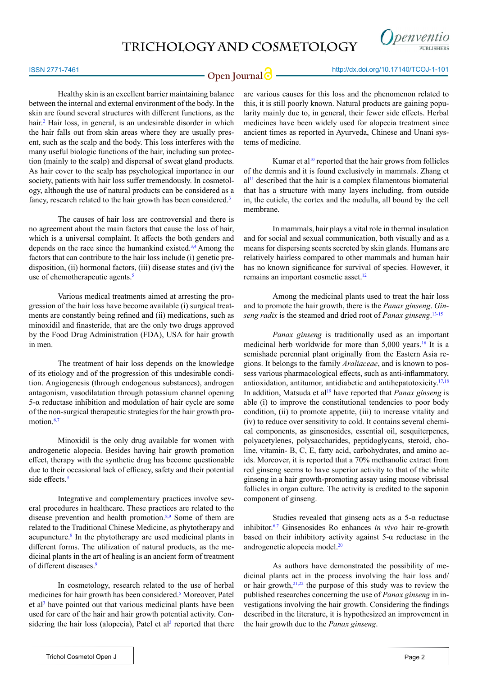

**Open Journal @** http://dx.doi.org/[10.17140/TCOJ-1-101](http://dx.doi.org/10.17140/TCOJ-1-101)

Healthy skin is an excellent barrier maintaining balance between the internal and external environment of the body. In the skin are found several structures with different functions, as the hair.<sup>2</sup> Hair loss, in general, is an undesirable disorder in which the hair falls out from skin areas where they are usually present, such as the scalp and the body. This loss interferes with the many useful biologic functions of the hair, including sun protection (mainly to the scalp) and dispersal of sweat gland products. As hair cover to the scalp has psychological importance in our society, patients with hair loss suffer tremendously. In cosmetology, although the use of natural products can be considered as a fancy, research related to the hair growth has been considered.<sup>[3](#page-5-2)</sup>

The causes of hair loss are controversial and there is no agreement about the main factors that cause the loss of hair, which is a universal complaint. It affects the both genders and depends on the race since the humankind existed.<sup>[3,4](#page-5-2)</sup> Among the factors that can contribute to the hair loss include (i) genetic predisposition, (ii) hormonal factors, (iii) disease states and (iv) the use of chemotherapeutic agents.<sup>5</sup>

Various medical treatments aimed at arresting the progression of the hair loss have become available (i) surgical treatments are constantly being refined and (ii) medications, such as minoxidil and finasteride, that are the only two drugs approved by the Food Drug Administration (FDA), USA for hair growth in men.

The treatment of hair loss depends on the knowledge of its etiology and of the progression of this undesirable condition. Angiogenesis (through endogenous substances), androgen antagonism, vasodilatation through potassium channel opening 5-α reductase inhibition and modulation of hair cycle are some of the non-surgical therapeutic strategies for the hair growth pro-motion.<sup>[6,7](#page-5-4)</sup>

Minoxidil is the only drug available for women with androgenetic alopecia. Besides having hair growth promotion effect, therapy with the synthetic drug has become questionable due to their occasional lack of efficacy, safety and their potential side effects.<sup>[3](#page-5-2)</sup>

Integrative and complementary practices involve several procedures in healthcare. These practices are related to the disease prevention and health promotion.<sup>[8,9](#page-5-5)</sup> Some of them are related to the Traditional Chinese Medicine, as phytotherapy and acupuncture.<sup>8</sup> In the phytotherapy are used medicinal plants in different forms. The utilization of natural products, as the medicinal plants in the art of healing is an ancient form of treatment of different diseases.<sup>9</sup>

In cosmetology, research related to the use of herbal medicines for hair growth has been considered.<sup>[5](#page-5-3)</sup> Moreover, Patel et al<sup>[3](#page-5-2)</sup> have pointed out that various medicinal plants have been used for care of the hair and hair growth potential activity. Con-sidering the hair loss (alopecia), Patel et al<sup>[3](#page-5-2)</sup> reported that there are various causes for this loss and the phenomenon related to this, it is still poorly known. Natural products are gaining popularity mainly due to, in general, their fewer side effects. Herbal medicines have been widely used for alopecia treatment since ancient times as reported in Ayurveda, Chinese and Unani systems of medicine.

Kumar et al $10$  reported that the hair grows from follicles of the dermis and it is found exclusively in mammals. Zhang et  $al<sup>11</sup>$  $al<sup>11</sup>$  $al<sup>11</sup>$  described that the hair is a complex filamentous biomaterial that has a structure with many layers including, from outside in, the cuticle, the cortex and the medulla, all bound by the cell membrane.

In mammals, hair plays a vital role in thermal insulation and for social and sexual communication, both visually and as a means for dispersing scents secreted by skin glands. Humans are relatively hairless compared to other mammals and human hair has no known significance for survival of species. However, it remains an important cosmetic asset.<sup>12</sup>

Among the medicinal plants used to treat the hair loss and to promote the hair growth, there is the *Panax ginseng*. *Ginseng radix* is the steamed and dried root of *Panax ginseng*. [13-15](#page-5-10)

*Panax ginseng* is traditionally used as an important medicinal herb worldwide for more than 5,000 years.<sup>16</sup> It is a semishade perennial plant originally from the Eastern Asia regions. It belongs to the family *Araliaceae*, and is known to possess various pharmacological effects, such as anti-inflammatory, antioxidation, antitumor, antidiabetic and antihepatotoxicity[.17,18](#page-6-1) In addition, Matsuda et al<sup>19</sup> have reported that *Panax ginseng* is able (i) to improve the constitutional tendencies to poor body condition, (ii) to promote appetite, (iii) to increase vitality and (iv) to reduce over sensitivity to cold. It contains several chemical components, as ginsenosides, essential oil, sesquiterpenes, polyacetylenes, polysaccharides, peptidoglycans, steroid, choline, vitamin- B, C, E, fatty acid, carbohydrates, and amino acids. Moreover, it is reported that a 70% methanolic extract from red ginseng seems to have superior activity to that of the white ginseng in a hair growth-promoting assay using mouse vibrissal follicles in organ culture. The activity is credited to the saponin component of ginseng.

Studies revealed that ginseng acts as a  $5-\alpha$  reductase inhibitor[.6,7](#page-5-4) Ginsenosides Ro enhances *in vivo* hair re-growth based on their inhibitory activity against  $5-\alpha$  reductase in the androgenetic alopecia model[.20](#page-6-3)

As authors have demonstrated the possibility of medicinal plants act in the process involving the hair loss and/ or hair growth, $21,22$  the purpose of this study was to review the published researches concerning the use of *Panax ginseng* in investigations involving the hair growth. Considering the findings described in the literature, it is hypothesized an improvement in the hair growth due to the *Panax ginseng*.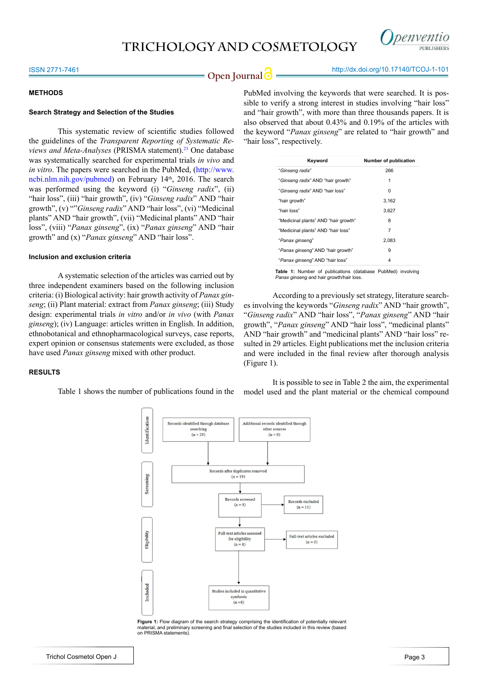

#### ISSN 2771-7461

#### **METHODS**

### **Search Strategy and Selection of the Studies**

This systematic review of scientific studies followed the guidelines of the *Transparent Reporting of Systematic Reviews and Meta-Analyses* (PRISMA statement).<sup>23</sup> One database was systematically searched for experimental trials *in vivo* and *in vitro*. The papers were searched in the PubMed, [\(http://www.](http://www.ncbi.nlm.nih.gov/pubmed) [ncbi.nlm.nih.gov/pubmed](http://www.ncbi.nlm.nih.gov/pubmed)) on February 14<sup>th</sup>, 2016. The search was performed using the keyword (i) "*Ginseng radix*", (ii) "hair loss", (iii) "hair growth", (iv) "*Ginseng radix*" AND "hair growth", (v) ""*Ginseng radix*" AND "hair loss", (vi) "Medicinal plants" AND "hair growth", (vii) "Medicinal plants" AND "hair loss", (viii) "*Panax ginseng*", (ix) "*Panax ginseng*" AND "hair growth" and (x) "*Panax ginseng*" AND "hair loss".

#### **Inclusion and exclusion criteria**

A systematic selection of the articles was carried out by three independent examiners based on the following inclusion criteria: (i) Biological activity: hair growth activity of *Panax ginseng*; (ii) Plant material: extract from *Panax ginseng*; (iii) Study design: experimental trials *in vitro* and/or *in vivo* (with *Panax ginseng*); (iv) Language: articles written in English. In addition, ethnobotanical and ethnopharmacological surveys, case reports, expert opinion or consensus statements were excluded, as those have used *Panax ginseng* mixed with other product.

## **RESULTS**

Table 1 shows the number of publications found in the

PubMed involving the keywords that were searched. It is possible to verify a strong interest in studies involving "hair loss" and "hair growth", with more than three thousands papers. It is also observed that about 0.43% and 0.19% of the articles with the keyword "*Panax ginseng*" are related to "hair growth" and "hair loss", respectively.

| Keyword                              | Number of publication |
|--------------------------------------|-----------------------|
| "Ginseng radix"                      | 266                   |
| "Ginseng radix" AND "hair growth"    | 1                     |
| "Ginseng radix" AND "hair loss"      | O                     |
| "hair growth"                        | 3.162                 |
| "hair loss"                          | 3.627                 |
| "Medicinal plants" AND "hair growth" | 8                     |
| "Medicinal plants" AND "hair loss"   | 7                     |
| "Panax ginseng"                      | 2.083                 |
| "Panax ginseng" AND "hair growth"    | 9                     |
| "Panax ginseng" AND "hair loss"      | 4                     |

**Table 1:** Number of publications (database PubMed) involving *Panax ginseng* and hair growth/hair loss.

According to a previously set strategy, literature searches involving the keywords "*Ginseng radix*" AND "hair growth", "*Ginseng radix*" AND "hair loss", "*Panax ginseng*" AND "hair growth", "*Panax ginseng*" AND "hair loss", "medicinal plants" AND "hair growth" and "medicinal plants" AND "hair loss" resulted in 29 articles. Eight publications met the inclusion criteria and were included in the final review after thorough analysis (Figure 1).

It is possible to see in Table 2 the aim, the experimental model used and the plant material or the chemical compound



Figure 1: Flow diagram of the search strategy comprising the identification of potentially relevan material, and preliminary screening and final selection of the studies included in this review (based on PRISMA statements).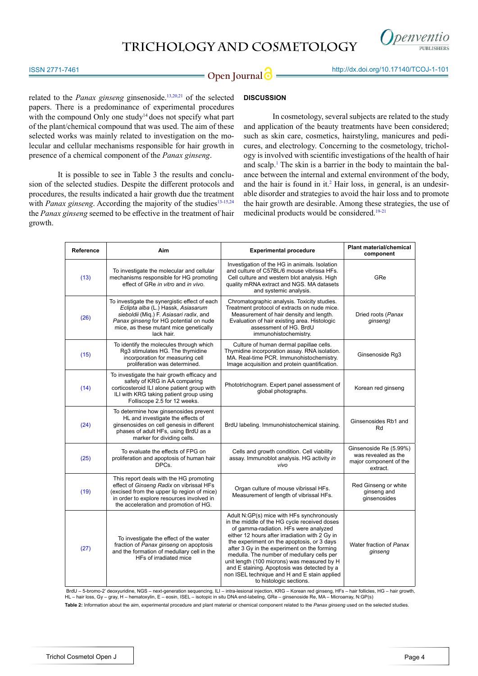

**Open Journal @** http://dx.doi.org/[10.17140/TCOJ-1-101](http://dx.doi.org/10.17140/TCOJ-1-101)

related to the *Panax ginseng* ginsenoside.<sup>[13](#page-5-10),[20,21](#page-6-3)</sup> of the selected papers. There is a predominance of experimental procedures with the compound Only one study<sup>14</sup> does not specify what part of the plant/chemical compound that was used. The aim of these selected works was mainly related to investigation on the molecular and cellular mechanisms responsible for hair growth in presence of a chemical component of the *Panax ginseng*.

It is possible to see in Table 3 the results and conclusion of the selected studies. Despite the different protocols and procedures, the results indicated a hair growth due the treatment with *Panax ginseng*. According the majority of the studies<sup>[13-15](#page-5-10),24</sup> the *Panax ginseng* seemed to be effective in the treatment of hair growth.

## **DISCUSSION**

In cosmetology, several subjects are related to the study and application of the beauty treatments have been considered; such as skin care, cosmetics, hairstyling, manicures and pedicures, and electrology. Concerning to the cosmetology, trichology is involved with scientific investigations of the health of hair and scalp.<sup>[1](#page-5-0)</sup> The skin is a barrier in the body to maintain the balance between the internal and external environment of the body, and the hair is found in it.<sup>2</sup> Hair loss, in general, is an undesirable disorder and strategies to avoid the hair loss and to promote the hair growth are desirable. Among these strategies, the use of medicinal products would be considered.[19-21](#page-6-2)

| <b>Reference</b> | Aim                                                                                                                                                                                                                              | <b>Experimental procedure</b>                                                                                                                                                                                                                                                                                                                                                                                                                                                                            | <b>Plant material/chemical</b><br>component                                         |
|------------------|----------------------------------------------------------------------------------------------------------------------------------------------------------------------------------------------------------------------------------|----------------------------------------------------------------------------------------------------------------------------------------------------------------------------------------------------------------------------------------------------------------------------------------------------------------------------------------------------------------------------------------------------------------------------------------------------------------------------------------------------------|-------------------------------------------------------------------------------------|
| (13)             | To investigate the molecular and cellular<br>mechanisms responsible for HG promoting<br>effect of GRe in vitro and in vivo.                                                                                                      | Investigation of the HG in animals. Isolation<br>and culture of C57BL/6 mouse vibrissa HFs.<br>Cell culture and western blot analysis. High<br>quality mRNA extract and NGS. MA datasets<br>and systemic analysis.                                                                                                                                                                                                                                                                                       | GRe                                                                                 |
| (26)             | To investigate the synergistic effect of each<br>Eclipta alba (L.) Hassk, Asiasarum<br>sieboldii (Miq.) F. Asiasari radix, and<br>Panax ginseng for HG potential on nude<br>mice, as these mutant mice genetically<br>lack hair. | Chromatographic analysis. Toxicity studies.<br>Treatment protocol of extracts on nude mice.<br>Measurement of hair density and length.<br>Evaluation of hair existing area. Histologic<br>assessment of HG. BrdU<br>immunohistochemistry.                                                                                                                                                                                                                                                                | Dried roots (Panax<br>ginseng)                                                      |
| (15)             | To identify the molecules through which<br>Rq3 stimulates HG. The thymidine<br>incorporation for measuring cell<br>proliferation was determined.                                                                                 | Culture of human dermal papillae cells.<br>Thymidine incorporation assay. RNA isolation.<br>MA. Real-time PCR. Immunohistochemistry.<br>Image acquisition and protein quantification.                                                                                                                                                                                                                                                                                                                    | Ginsenoside Rg3                                                                     |
| (14)             | To investigate the hair growth efficacy and<br>safety of KRG in AA comparing<br>corticosteroid ILI alone patient group with<br>ILI with KRG taking patient group using<br>Folliscope 2.5 for 12 weeks.                           | Phototrichogram. Expert panel assessment of<br>global photographs.                                                                                                                                                                                                                                                                                                                                                                                                                                       | Korean red ginseng                                                                  |
| (24)             | To determine how ginsenosides prevent<br>HL and investigate the effects of<br>ginsenosides on cell genesis in different<br>phases of adult HFs, using BrdU as a<br>marker for dividing cells.                                    | BrdU labeling. Immunohistochemical staining.                                                                                                                                                                                                                                                                                                                                                                                                                                                             | Ginsenosides Rb1 and<br>Rd                                                          |
| (25)             | To evaluate the effects of FPG on<br>proliferation and apoptosis of human hair<br>DPCs.                                                                                                                                          | Cells and growth condition. Cell viability<br>assay. Immunoblot analysis. HG activity in<br>vivo                                                                                                                                                                                                                                                                                                                                                                                                         | Ginsenoside Re (5.99%)<br>was revealed as the<br>major component of the<br>extract. |
| (19)             | This report deals with the HG promoting<br>effect of Ginseng Radix on vibrissal HFs<br>(excised from the upper lip region of mice)<br>in order to explore resources involved in<br>the acceleration and promotion of HG.         | Organ culture of mouse vibrissal HFs.<br>Measurement of length of vibrissal HFs.                                                                                                                                                                                                                                                                                                                                                                                                                         | Red Ginseng or white<br>ginseng and<br>ginsenosides                                 |
| (27)             | To investigate the effect of the water<br>fraction of Panax ginseng on apoptosis<br>and the formation of medullary cell in the<br>HFs of irradiated mice                                                                         | Adult N:GP(s) mice with HFs synchronously<br>in the middle of the HG cycle received doses<br>of gamma-radiation. HFs were analyzed<br>either 12 hours after irradiation with 2 Gy in<br>the experiment on the apoptosis, or 3 days<br>after 3 Gy in the experiment on the forming<br>medulla. The number of medullary cells per<br>unit length (100 microns) was measured by H<br>and E staining. Apoptosis was detected by a<br>non ISEL technique and H and E stain applied<br>to histologic sections. | Water fraction of Panax<br>ginseng                                                  |

BrdU – 5-bromo-2' deoxyuridine, NGS – next-generation sequencing, ILI – intra-lesional injection, KRG – Korean red ginseng, HFs – hair follicles, HG – hair growth,<br>HL – hair loss, Gy – gray, H – hematoxylin, E – eosin, ISE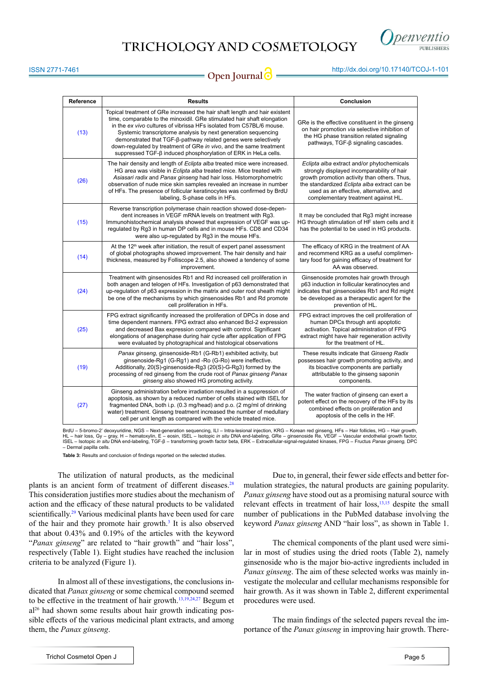

**Open Journal C** 100 million http://dx.doi.org/[10.17140/TCOJ-1-101](http://dx.doi.org/10.17140/TCOJ-1-101)

| Reference | <b>Results</b>                                                                                                                                                                                                                                                                                                                                                                                                                                                                                           | Conclusion                                                                                                                                                                                                                                                                |
|-----------|----------------------------------------------------------------------------------------------------------------------------------------------------------------------------------------------------------------------------------------------------------------------------------------------------------------------------------------------------------------------------------------------------------------------------------------------------------------------------------------------------------|---------------------------------------------------------------------------------------------------------------------------------------------------------------------------------------------------------------------------------------------------------------------------|
| (13)      | Topical treatment of GRe increased the hair shaft length and hair existent<br>time, comparable to the minoxidil. GRe stimulated hair shaft elongation<br>in the ex vivo cultures of vibrissa HFs isolated from C57BL/6 mouse.<br>Systemic transcriptome analysis by next generation sequencing<br>demonstrated that TGF-ß-pathway related genes were selectively<br>down-regulated by treatment of GRe in vivo, and the same treatment<br>suppressed TGF-β induced phosphorylation of ERK in HeLa cells. | GRe is the effective constituent in the ginseng<br>on hair promotion via selective inhibition of<br>the HG phase transition related signaling<br>pathways, TGF-β signaling cascades.                                                                                      |
| (26)      | The hair density and length of Eclipta alba treated mice were increased.<br>HG area was visible in Eclipta alba treated mice. Mice treated with<br>Asiasari radix and Panax ginseng had hair loss. Histomorphometric<br>observation of nude mice skin samples revealed an increase in number<br>of HFs. The presence of follicular keratinocytes was confirmed by BrdU<br>labeling, S-phase cells in HFs.                                                                                                | Eclipta alba extract and/or phytochemicals<br>strongly displayed incomparability of hair<br>growth promotion activity than others. Thus,<br>the standardized Eclipta alba extract can be<br>used as an effective, alternative, and<br>complementary treatment against HL. |
| (15)      | Reverse transcription polymerase chain reaction showed dose-depen-<br>dent increases in VEGF mRNA levels on treatment with Rq3.<br>Immunohistochemical analysis showed that expression of VEGF was up-<br>regulated by Rg3 in human DP cells and in mouse HFs. CD8 and CD34<br>were also up-regulated by Rg3 in the mouse HFs.                                                                                                                                                                           | It may be concluded that Rg3 might increase<br>HG through stimulation of HF stem cells and it<br>has the potential to be used in HG products.                                                                                                                             |
| (14)      | At the 12 <sup>th</sup> week after initiation, the result of expert panel assessment<br>of global photographs showed improvement. The hair density and hair<br>thickness, measured by Folliscope 2.5, also showed a tendency of some<br>improvement.                                                                                                                                                                                                                                                     | The efficacy of KRG in the treatment of AA<br>and recommend KRG as a useful complimen-<br>tary food for gaining efficacy of treatment for<br>AA was observed.                                                                                                             |
| (24)      | Treatment with ginsenosides Rb1 and Rd increased cell proliferation in<br>both anagen and telogen of HFs. Investigation of p63 demonstrated that<br>up-regulation of p63 expression in the matrix and outer root sheath might<br>be one of the mechanisms by which ginsenosides Rb1 and Rd promote<br>cell proliferation in HFs.                                                                                                                                                                         | Ginsenoside promotes hair growth through<br>p63 induction in follicular keratinocytes and<br>indicates that ginsenosides Rb1 and Rd might<br>be developed as a therapeutic agent for the<br>prevention of HL.                                                             |
| (25)      | FPG extract significantly increased the proliferation of DPCs in dose and<br>time dependent manners. FPG extract also enhanced Bcl-2 expression<br>and decreased Bax expression compared with control. Significant<br>elongations of anagenphase during hair cycle after application of FPG<br>were evaluated by photographical and histological observations                                                                                                                                            | FPG extract improves the cell proliferation of<br>human DPCs through anti apoptotic<br>activation. Topical administration of FPG<br>extract might have hair regeneration activity<br>for the treatment of HL.                                                             |
| (19)      | Panax ginseng, ginsenoside-Rb1 (G-Rb1) exhibited activity, but<br>ginsenoside-Rg1 (G-Rg1) and -Ro (G-Ro) were ineffective.<br>Additionally, 20(S)-ginsenoside-Rg3 (20(S)-G-Rg3) formed by the<br>processing of red ginseng from the crude root of Panax ginseng Panax<br>ginseng also showed HG promoting activity.                                                                                                                                                                                      | These results indicate that Ginseng Radix<br>possesses hair growth promoting activity, and<br>its bioactive components are partially<br>attributable to the ginseng saponin<br>components.                                                                                |
| (27)      | Ginseng administration before irradiation resulted in a suppression of<br>apoptosis, as shown by a reduced number of cells stained with ISEL for<br>fragmented DNA, both i.p. (0.3 mg/head) and p.o. (2 mg/ml of drinking<br>water) treatment. Ginseng treatment increased the number of medullary<br>cell per unit length as compared with the vehicle treated mice.                                                                                                                                    | The water fraction of ginseng can exert a<br>potent effect on the recovery of the HFs by its<br>combined effects on proliferation and<br>apoptosis of the cells in the HF.                                                                                                |

BrdU – 5-bromo-2' deoxyuridine, NGS – Next-generation sequencing, ILI – Intra-lesional injection, KRG – Korean red ginseng, HFs – Hair follicles, HG – Hair growth,<br>HL – hair loss, Gy – gray, H – [hematoxylin](http://www.ncbi.nlm.nih.gov/pubmed/21356829), E – eosin, ISE ISEL – Isotopic *in situ* DNA end-labeling, TGF-β – transforming growth factor beta, ERK – Extracellular-signal-regulated kinases, FPG – Fructus *Panax ginseng,* DPC – Dermal papilla cells.

**Table 3:** Results and conclusion of findings reported on the selected studies.

The utilization of natural products, as the medicinal plants is an ancient form of treatment of different diseases.<sup>[28](#page-5-0)</sup> This consideration justifies more studies about the mechanism of action and the efficacy of these natural products to be validated scientifically.<sup>29</sup> Various medicinal plants have been used for care of the hair and they promote hair growth.<sup>3</sup> It is also observed that about 0.43% and 0.19% of the articles with the keyword "*Panax ginseng*" are related to "hair growth" and "hair loss", respectively (Table 1). Eight studies have reached the inclusion criteria to be analyzed (Figure 1).

In almost all of these investigations, the conclusions indicated that *Panax ginseng* or some chemical compound seemed to be effective in the treatment of hair growth.[13](#page-5-10),[19](#page-6-2),[24,](#page-6-6)[27](#page-6-11) Begum et al26 had shown some results about hair growth indicating possible effects of the various medicinal plant extracts, and among them, the *Panax ginseng*.

Due to, in general, their fewer side effects and better formulation strategies, the natural products are gaining popularity. *Panax ginseng* have stood out as a promising natural source with relevant effects in treatment of hair loss,<sup>[13](#page-5-10),15</sup> despite the small number of publications in the PubMed database involving the keyword *Panax ginseng* AND "hair loss", as shown in Table 1.

The chemical components of the plant used were similar in most of studies using the dried roots (Table 2), namely ginsenoside who is the major bio-active ingredients included in *Panax ginseng*. The aim of these selected works was mainly investigate the molecular and cellular mechanisms responsible for hair growth. As it was shown in Table 2, different experimental procedures were used.

The main findings of the selected papers reveal the importance of the *Panax ginseng* in improving hair growth. There-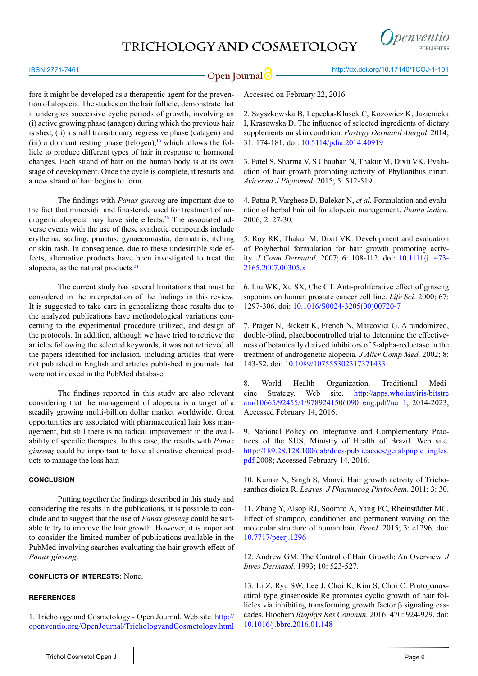

#### ISSN 2771-7461

**Open Journal <b>O** <u>Committee Section of</u> the MED of the MCD of the MCD of the MCD of the MCD of the MCD of the MCD of the MCD of the MCD of the MCD of the MCD of the MCD of the MCD of the MCD of the MCD of the MCD of the M

fore it might be developed as a therapeutic agent for the prevention of alopecia. The studies on the hair follicle, demonstrate that it undergoes successive cyclic periods of growth, involving an (i) active growing phase (anagen) during which the previous hair is shed, (ii) a small transitionary regressive phase (catagen) and (iii) a dormant resting phase (telogen), $10$  which allows the follicle to produce different types of hair in response to hormonal changes. Each strand of hair on the human body is at its own stage of development. Once the cycle is complete, it restarts and a new strand of hair begins to form.

The findings with *Panax ginseng* are important due to the fact that minoxidil and finasteride used for treatment of androgenic alopecia may have side effects.<sup>30</sup> The associated adverse events with the use of these synthetic compounds include erythema, scaling, pruritus, gynaecomastia, dermatitis, itching or skin rash. In consequence, due to these undesirable side effects, alternative products have been investigated to treat the alopecia, as the natural products. $31$ 

The current study has several limitations that must be considered in the interpretation of the findings in this review. It is suggested to take care in generalizing these results due to the analyzed publications have methodological variations concerning to the experimental procedure utilized, and design of the protocols. In addition, although we have tried to retrieve the articles following the selected keywords, it was not retrieved all the papers identified for inclusion, including articles that were not published in English and articles published in journals that were not indexed in the PubMed database.

The findings reported in this study are also relevant considering that the management of alopecia is a target of a steadily growing multi-billion dollar market worldwide. Great opportunities are associated with pharmaceutical hair loss management, but still there is no radical improvement in the availability of specific therapies. In this case, the results with *Panax ginseng* could be important to have alternative chemical products to manage the loss hair.

## **CONCLUSION**

Putting together the findings described in this study and considering the results in the publications, it is possible to conclude and to suggest that the use of *Panax ginseng* could be suitable to try to improve the hair growth. However, it is important to consider the limited number of publications available in the PubMed involving searches evaluating the hair growth effect of *Panax ginseng*.

## **CONFLICTS OF INTERESTS:** None.

## **REFERENCES**

<span id="page-5-0"></span>1. Trichology and Cosmetology - Open Journal. Web site. [http://](http://openventio.org/OpenJournal/TrichologyandCosmetology.html) [openventio.org/OpenJournal/TrichologyandCosmetology.html](http://openventio.org/OpenJournal/TrichologyandCosmetology.html)

<span id="page-5-1"></span>2. Szyszkowska B, Lepecka-Klusek C, Kozowicz K, Jazienicka I, Krasowska D. The influence of selected ingredients of dietary supplements on skin condition. *Postepy Dermatol Alergol*. 2014; 31: 174-181. doi: [10.5114/pdia.2014.40919](http://www.termedia.pl/Review-paper-The-influence-of-selected-ingredients-of-dietary-supplements-on-skin-condition%2C7%2C22325%2C0%2C1.html)

<span id="page-5-2"></span>3. Patel S, Sharma V, S Chauhan N, Thakur M, Dixit VK. Evaluation of hair growth promoting activity of Phyllanthus niruri. *Avicenna J Phytomed*. 2015; 5: 512-519.

4. Patna P, Varghese D, Balekar N, *et al.* Formulation and evaluation of herbal hair oil for alopecia management. *Planta indica*. 2006; 2: 27-30.

<span id="page-5-3"></span>5. Roy RK, Thakur M, Dixit VK. Development and evaluation of Polyherbal formulation for hair growth promoting activity. *J Cosm Dermatol*. 2007; 6: 108-112. doi: [10.1111/j.1473-](http://onlinelibrary.wiley.com/doi/10.1111/j.1473-2165.2007.00305.x/abstract) [2165.2007.00305.x](http://onlinelibrary.wiley.com/doi/10.1111/j.1473-2165.2007.00305.x/abstract)

<span id="page-5-4"></span>6. Liu WK, Xu SX, Che CT. Anti-proliferative effect of ginseng saponins on human prostate cancer cell line. *Life Sci.* 2000; 67: 1297-306. doi: [10.1016/S0024-3205\(00\)00720-7](http://www.sciencedirect.com/science/article/pii/S0024320500007207)

7. Prager N, Bickett K, French N, Marcovici G. A randomized, double-blind, placebocontrolled trial to determine the effectiveness of botanically derived inhibitors of 5-alpha-reductase in the treatment of androgenetic alopecia. *J Alter Comp Med*. 2002; 8: 143-52. doi: [10.1089/107555302317371433](http://online.liebertpub.com/doi/abs/10.1089/107555302317371433)

<span id="page-5-5"></span>8. World Health Organization. Traditional Medicine Strategy. Web site. [http://apps.who.int/iris/bitstre](http://apps.who.int/iris/bitstream/10665/92455/1/9789241506090_eng.pdf%3Fua%3D1) [am/10665/92455/1/9789241506090\\_eng.pdf?ua=1,](http://apps.who.int/iris/bitstream/10665/92455/1/9789241506090_eng.pdf%3Fua%3D1) 2014-2023, Accessed February 14, 2016.

<span id="page-5-6"></span>9. National Policy on Integrative and Complementary Practices of the SUS, Ministry of Health of Brazil. Web site. [http://189.28.128.100/dab/docs/publicacoes/geral/pnpic\\_ingles.](http://189.28.128.100/dab/docs/publicacoes/geral/pnpic_ingles.pdf) [pdf](http://189.28.128.100/dab/docs/publicacoes/geral/pnpic_ingles.pdf) 2008; Accessed February 14, 2016.

<span id="page-5-7"></span>10. Kumar N, Singh S, Manvi. Hair growth activity of Trichosanthes dioica R. *Leaves. J Pharmacog Phytochem*. 2011; 3: 30.

<span id="page-5-8"></span>11. Zhang Y, Alsop RJ, Soomro A, Yang FC, Rheinstädter MC. Effect of shampoo, conditioner and permanent waving on the molecular structure of human hair. *PeerJ*. 2015; 3: e1296. doi: [10.7717/peerj.1296](http://www.ncbi.nlm.nih.gov/pubmed/%3Fterm%3DEffect%2Bof%2Bshampoo%252C%2Bconditioner%2Band%2Bpermanent%2Bwaving%2Bon%2Bthe%2Bmolecular%2Bstructure%2Bof%2Bhuman%2Bhair)

<span id="page-5-9"></span>12. Andrew GM. The Control of Hair Growth: An Overview. *J Inves Dermatol.* 1993; 10: 523-527.

<span id="page-5-10"></span>13. Li Z, Ryu SW, Lee J, Choi K, Kim S, Choi C. Protopanaxatirol type ginsenoside Re promotes cyclic growth of hair follicles via inhibiting transforming growth factor β signaling cascades. Biochem *Biophys Res Commun*. 2016; 470: 924-929. doi: [10.1016/j.bbrc.2016.01.148](http://www.ncbi.nlm.nih.gov/pubmed/%3Fterm%3DProtopanaxatirol%2Btype%2Bginsenoside%2BRe%2Bpromotes%2Bcyclic%2Bgrowth%2Bof%2Bhair%2Bfollicles%2Bvia%2Binhibiting%2Btransforming%2Bgrowth%2Bfactor%2B%25CE%25B2%2Bsignaling%2Bcascades)